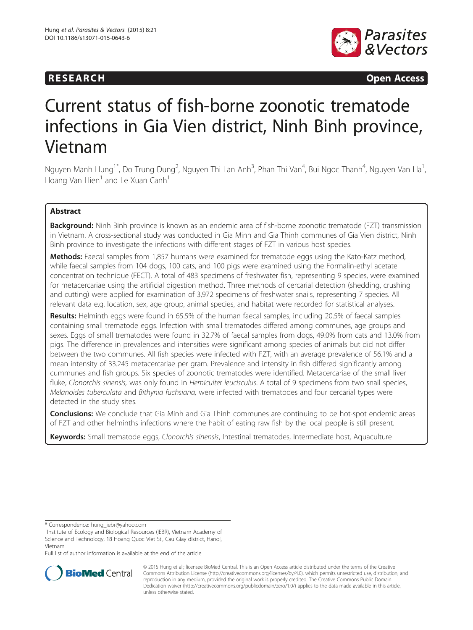

**RESEARCH CHINESEARCH CHINESEARCH CHINESE** 

# Current status of fish-borne zoonotic trematode infections in Gia Vien district, Ninh Binh province, Vietnam

Nguyen Manh Hung<sup>1\*</sup>, Do Trung Dung<sup>2</sup>, Nguyen Thi Lan Anh<sup>3</sup>, Phan Thi Van<sup>4</sup>, Bui Ngoc Thanh<sup>4</sup>, Nguyen Van Ha<sup>1</sup> , Hoang Van Hien $<sup>1</sup>$  and Le Xuan Canh<sup>1</sup></sup>

# Abstract

**Background:** Ninh Binh province is known as an endemic area of fish-borne zoonotic trematode (FZT) transmission in Vietnam. A cross-sectional study was conducted in Gia Minh and Gia Thinh communes of Gia Vien district, Ninh Binh province to investigate the infections with different stages of FZT in various host species.

Methods: Faecal samples from 1,857 humans were examined for trematode eggs using the Kato-Katz method, while faecal samples from 104 dogs, 100 cats, and 100 pigs were examined using the Formalin-ethyl acetate concentration technique (FECT). A total of 483 specimens of freshwater fish, representing 9 species, were examined for metacercariae using the artificial digestion method. Three methods of cercarial detection (shedding, crushing and cutting) were applied for examination of 3,972 specimens of freshwater snails, representing 7 species. All relevant data e.g. location, sex, age group, animal species, and habitat were recorded for statistical analyses.

Results: Helminth eggs were found in 65.5% of the human faecal samples, including 20.5% of faecal samples containing small trematode eggs. Infection with small trematodes differed among communes, age groups and sexes. Eggs of small trematodes were found in 32.7% of faecal samples from dogs, 49.0% from cats and 13.0% from pigs. The difference in prevalences and intensities were significant among species of animals but did not differ between the two communes. All fish species were infected with FZT, with an average prevalence of 56.1% and a mean intensity of 33.245 metacercariae per gram. Prevalence and intensity in fish differed significantly among cummunes and fish groups. Six species of zoonotic trematodes were identified. Metacercariae of the small liver fluke, Clonorchis sinensis, was only found in Hemiculter leucisculus. A total of 9 specimens from two snail species, Melanoides tuberculata and Bithynia fuchsiana, were infected with trematodes and four cercarial types were detected in the study sites.

**Conclusions:** We conclude that Gia Minh and Gia Thinh communes are continuing to be hot-spot endemic areas of FZT and other helminths infections where the habit of eating raw fish by the local people is still present.

Keywords: Small trematode eggs, Clonorchis sinensis, Intestinal trematodes, Intermediate host, Aquaculture

\* Correspondence: [hung\\_iebr@yahoo.com](mailto:hung_iebr@yahoo.com) <sup>1</sup>

<sup>1</sup>Institute of Ecology and Biological Resources (IEBR), Vietnam Academy of Science and Technology, 18 Hoang Quoc Viet St., Cau Giay district, Hanoi, Vietnam

Full list of author information is available at the end of the article



© 2015 Hung et al.; licensee BioMed Central. This is an Open Access article distributed under the terms of the Creative Commons Attribution License [\(http://creativecommons.org/licenses/by/4.0\)](http://creativecommons.org/licenses/by/4.0), which permits unrestricted use, distribution, and reproduction in any medium, provided the original work is properly credited. The Creative Commons Public Domain Dedication waiver [\(http://creativecommons.org/publicdomain/zero/1.0/](http://creativecommons.org/publicdomain/zero/1.0/)) applies to the data made available in this article, unless otherwise stated.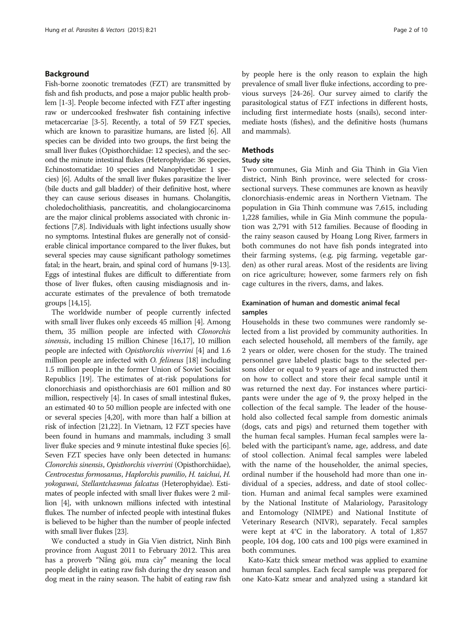#### Background

Fish-borne zoonotic trematodes (FZT) are transmitted by fish and fish products, and pose a major public health problem [\[1-3](#page-8-0)]. People become infected with FZT after ingesting raw or undercooked freshwater fish containing infective metacercariae [[3](#page-8-0)-[5](#page-8-0)]. Recently, a total of 59 FZT species, which are known to parasitize humans, are listed [\[6\]](#page-8-0). All species can be divided into two groups, the first being the small liver flukes (Opisthorchiidae: 12 species), and the second the minute intestinal flukes (Heterophyidae: 36 species, Echinostomatidae: 10 species and Nanophyetidae: 1 species) [\[6\]](#page-8-0). Adults of the small liver flukes parasitize the liver (bile ducts and gall bladder) of their definitive host, where they can cause serious diseases in humans. Cholangitis, choledocholithiasis, pancreatitis, and cholangiocarcinoma are the major clinical problems associated with chronic infections [\[7,8](#page-8-0)]. Individuals with light infections usually show no symptoms. Intestinal flukes are generally not of considerable clinical importance compared to the liver flukes, but several species may cause significant pathology sometimes fatal; in the heart, brain, and spinal cord of humans [\[9-13](#page-8-0)]. Eggs of intestinal flukes are difficult to differentiate from those of liver flukes, often causing misdiagnosis and inaccurate estimates of the prevalence of both trematode groups [\[14,15\]](#page-8-0).

The worldwide number of people currently infected with small liver flukes only exceeds 45 million [[4\]](#page-8-0). Among them, 35 million people are infected with Clonorchis sinensis, including 15 million Chinese [\[16,17\]](#page-8-0), 10 million people are infected with Opisthorchis viverrini [[4](#page-8-0)] and 1.6 million people are infected with O. felineus [\[18\]](#page-8-0) including 1.5 million people in the former Union of Soviet Socialist Republics [\[19\]](#page-8-0). The estimates of at-risk populations for clonorchiasis and opisthorchiasis are 601 million and 80 million, respectively [[4](#page-8-0)]. In cases of small intestinal flukes, an estimated 40 to 50 million people are infected with one or several species [[4](#page-8-0),[20](#page-8-0)], with more than half a billion at risk of infection [\[21,22](#page-8-0)]. In Vietnam, 12 FZT species have been found in humans and mammals, including 3 small liver fluke species and 9 minute intestinal fluke species [[6](#page-8-0)]. Seven FZT species have only been detected in humans: Clonorchis sinensis, Opisthorchis viverrini (Opisthorchiidae), Centrocestus formosanus, Haplorchis pumilio, H. taichui, H. yokogawai, Stellantchasmus falcatus (Heterophyidae). Estimates of people infected with small liver flukes were 2 million [\[4\]](#page-8-0), with unknown millions infected with intestinal flukes. The number of infected people with intestinal flukes is believed to be higher than the number of people infected with small liver flukes [\[23\]](#page-8-0).

We conducted a study in Gia Vien district, Ninh Binh province from August 2011 to February 2012. This area has a proverb "Nắng gỏi, mưa cày" meaning the local people delight in eating raw fish during the dry season and dog meat in the rainy season. The habit of eating raw fish by people here is the only reason to explain the high prevalence of small liver fluke infections, according to previous surveys [\[24-26](#page-8-0)]. Our survey aimed to clarify the parasitological status of FZT infections in different hosts, including first intermediate hosts (snails), second intermediate hosts (fishes), and the definitive hosts (humans and mammals).

## Methods

#### Study site

Two communes, Gia Minh and Gia Thinh in Gia Vien district, Ninh Binh province, were selected for crosssectional surveys. These communes are known as heavily clonorchiasis-endemic areas in Northern Vietnam. The population in Gia Thinh commune was 7,615, including 1,228 families, while in Gia Minh commune the population was 2,791 with 512 families. Because of flooding in the rainy season caused by Hoang Long River, farmers in both communes do not have fish ponds integrated into their farming systems, (e.g. pig farming, vegetable garden) as other rural areas. Most of the residents are living on rice agriculture; however, some farmers rely on fish cage cultures in the rivers, dams, and lakes.

# Examination of human and domestic animal fecal samples

Households in these two communes were randomly selected from a list provided by community authorities. In each selected household, all members of the family, age 2 years or older, were chosen for the study. The trained personnel gave labeled plastic bags to the selected persons older or equal to 9 years of age and instructed them on how to collect and store their fecal sample until it was returned the next day. For instances where participants were under the age of 9, the proxy helped in the collection of the fecal sample. The leader of the household also collected fecal sample from domestic animals (dogs, cats and pigs) and returned them together with the human fecal samples. Human fecal samples were labeled with the participant's name, age, address, and date of stool collection. Animal fecal samples were labeled with the name of the householder, the animal species, ordinal number if the household had more than one individual of a species, address, and date of stool collection. Human and animal fecal samples were examined by the National Institute of Malariology, Parasitology and Entomology (NIMPE) and National Institute of Veterinary Research (NIVR), separately. Fecal samples were kept at 4°C in the laboratory. A total of 1,857 people, 104 dog, 100 cats and 100 pigs were examined in both communes.

Kato-Katz thick smear method was applied to examine human fecal samples. Each fecal sample was prepared for one Kato-Katz smear and analyzed using a standard kit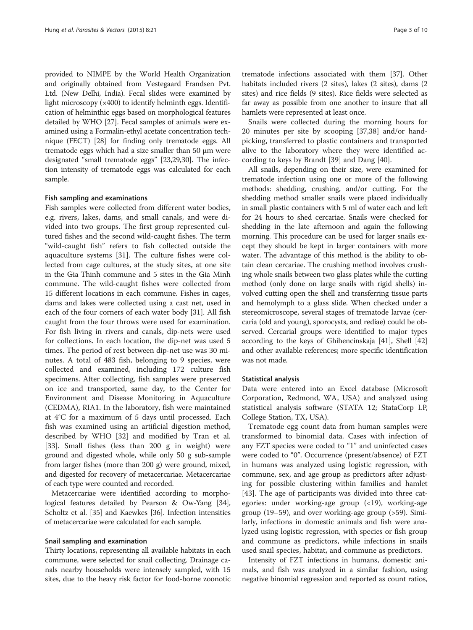provided to NIMPE by the World Health Organization and originally obtained from Vestegaard Frandsen Pvt. Ltd. (New Delhi, India). Fecal slides were examined by light microscopy (×400) to identify helminth eggs. Identification of helminthic eggs based on morphological features detailed by WHO [[27](#page-8-0)]. Fecal samples of animals were examined using a Formalin-ethyl acetate concentration technique (FECT) [\[28](#page-8-0)] for finding only trematode eggs. All trematode eggs which had a size smaller than 50 μm were designated "small trematode eggs" [\[23,29,30](#page-8-0)]. The infection intensity of trematode eggs was calculated for each sample.

#### Fish sampling and examinations

Fish samples were collected from different water bodies, e.g. rivers, lakes, dams, and small canals, and were divided into two groups. The first group represented cultured fishes and the second wild-caught fishes. The term "wild-caught fish" refers to fish collected outside the aquaculture systems [[31\]](#page-9-0). The culture fishes were collected from cage cultures, at the study sites, at one site in the Gia Thinh commune and 5 sites in the Gia Minh commune. The wild-caught fishes were collected from 15 different locations in each commune. Fishes in cages, dams and lakes were collected using a cast net, used in each of the four corners of each water body [[31\]](#page-9-0). All fish caught from the four throws were used for examination. For fish living in rivers and canals, dip-nets were used for collections. In each location, the dip-net was used 5 times. The period of rest between dip-net use was 30 minutes. A total of 483 fish, belonging to 9 species, were collected and examined, including 172 culture fish specimens. After collecting, fish samples were preserved on ice and transported, same day, to the Center for Environment and Disease Monitoring in Aquaculture (CEDMA), RIA1. In the laboratory, fish were maintained at 4°C for a maximum of 5 days until processed. Each fish was examined using an artificial digestion method, described by WHO [[32\]](#page-9-0) and modified by Tran et al. [[33\]](#page-9-0). Small fishes (less than 200 g in weight) were ground and digested whole, while only 50 g sub-sample from larger fishes (more than 200 g) were ground, mixed, and digested for recovery of metacercariae. Metacercariae of each type were counted and recorded.

Metacercariae were identified according to morphological features detailed by Pearson & Ow-Yang [[34](#page-9-0)], Scholtz et al. [\[35\]](#page-9-0) and Kaewkes [\[36](#page-9-0)]. Infection intensities of metacercariae were calculated for each sample.

#### Snail sampling and examination

Thirty locations, representing all available habitats in each commune, were selected for snail collecting. Drainage canals nearby households were intensely sampled, with 15 sites, due to the heavy risk factor for food-borne zoonotic

trematode infections associated with them [\[37\]](#page-9-0). Other habitats included rivers (2 sites), lakes (2 sites), dams (2 sites) and rice fields (9 sites). Rice fields were selected as far away as possible from one another to insure that all hamlets were represented at least once.

Snails were collected during the morning hours for 20 minutes per site by scooping [[37](#page-9-0),[38](#page-9-0)] and/or handpicking, transferred to plastic containers and transported alive to the laboratory where they were identified according to keys by Brandt [[39\]](#page-9-0) and Dang [\[40](#page-9-0)].

All snails, depending on their size, were examined for trematode infection using one or more of the following methods: shedding, crushing, and/or cutting. For the shedding method smaller snails were placed individually in small plastic containers with 5 ml of water each and left for 24 hours to shed cercariae. Snails were checked for shedding in the late afternoon and again the following morning. This procedure can be used for larger snails except they should be kept in larger containers with more water. The advantage of this method is the ability to obtain clean cercariae. The crushing method involves crushing whole snails between two glass plates while the cutting method (only done on large snails with rigid shells) involved cutting open the shell and transferring tissue parts and hemolymph to a glass slide. When checked under a stereomicroscope, several stages of trematode larvae (cercaria (old and young), sporocysts, and rediae) could be observed. Cercarial groups were identified to major types according to the keys of Ghihencinskaja [[41](#page-9-0)], Shell [[42](#page-9-0)] and other available references; more specific identification was not made.

#### Statistical analysis

Data were entered into an Excel database (Microsoft Corporation, Redmond, WA, USA) and analyzed using statistical analysis software (STATA 12; StataCorp LP, College Station, TX, USA).

Trematode egg count data from human samples were transformed to binomial data. Cases with infection of any FZT species were coded to "1" and uninfected cases were coded to "0". Occurrence (present/absence) of FZT in humans was analyzed using logistic regression, with commune, sex, and age group as predictors after adjusting for possible clustering within families and hamlet [[43\]](#page-9-0). The age of participants was divided into three categories: under working-age group (<19), working-age group (19–59), and over working-age group (>59). Similarly, infections in domestic animals and fish were analyzed using logistic regression, with species or fish group and commune as predictors, while infections in snails used snail species, habitat, and commune as predictors.

Intensity of FZT infections in humans, domestic animals, and fish was analyzed in a similar fashion, using negative binomial regression and reported as count ratios,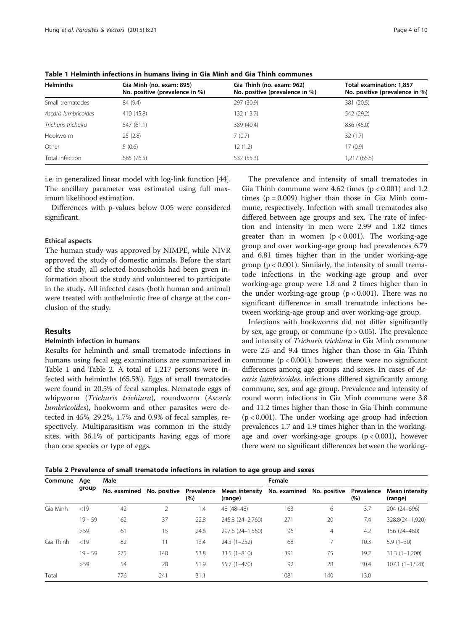| <b>Helminths</b>     | Gia Minh (no. exam: 895)<br>No. positive (prevalence in %) | Gia Thinh (no. exam: 962)<br>No. positive (prevalence in %) | Total examination: 1,857<br>No. positive (prevalence in %) |
|----------------------|------------------------------------------------------------|-------------------------------------------------------------|------------------------------------------------------------|
| Small trematodes     | 84 (9.4)                                                   | 297 (30.9)                                                  | 381 (20.5)                                                 |
| Ascaris lumbricoides | 410 (45.8)                                                 | 132 (13.7)                                                  | 542 (29.2)                                                 |
| Trichuris trichuira  | 547(61.1)                                                  | 389 (40.4)                                                  | 836 (45.0)                                                 |
| Hookworm             | 25(2.8)                                                    | 7(0.7)                                                      | 32(1.7)                                                    |
| Other                | 5(0.6)                                                     | 12(1.2)                                                     | 17(0.9)                                                    |
| Total infection      | 685 (76.5)                                                 | 532 (55.3)                                                  | 1,217 (65.5)                                               |

Table 1 Helminth infections in humans living in Gia Minh and Gia Thinh communes

i.e. in generalized linear model with log-link function [[44](#page-9-0)]. The ancillary parameter was estimated using full maximum likelihood estimation.

Differences with p-values below 0.05 were considered significant.

#### Ethical aspects

The human study was approved by NIMPE, while NIVR approved the study of domestic animals. Before the start of the study, all selected households had been given information about the study and volunteered to participate in the study. All infected cases (both human and animal) were treated with anthelmintic free of charge at the conclusion of the study.

# **Results**

## Helminth infection in humans

Results for helminth and small trematode infections in humans using fecal egg examinations are summarized in Table 1 and Table 2. A total of 1,217 persons were infected with helminths (65.5%). Eggs of small trematodes were found in 20.5% of fecal samples. Nematode eggs of whipworm (Trichuris trichiura), roundworm (Ascaris lumbricoides), hookworm and other parasites were detected in 45%, 29.2%, 1.7% and 0.9% of fecal samples, respectively. Multiparasitism was common in the study sites, with 36.1% of participants having eggs of more than one species or type of eggs.

The prevalence and intensity of small trematodes in Gia Thinh commune were  $4.62$  times ( $p < 0.001$ ) and  $1.2$ times  $(p = 0.009)$  higher than those in Gia Minh commune, respectively. Infection with small trematodes also differed between age groups and sex. The rate of infection and intensity in men were 2.99 and 1.82 times greater than in women  $(p < 0.001)$ . The working-age group and over working-age group had prevalences 6.79 and 6.81 times higher than in the under working-age group ( $p < 0.001$ ). Similarly, the intensity of small trematode infections in the working-age group and over working-age group were 1.8 and 2 times higher than in the under working-age group  $(p < 0.001)$ . There was no significant difference in small trematode infections between working-age group and over working-age group.

Infections with hookworms did not differ significantly by sex, age group, or commune  $(p > 0.05)$ . The prevalence and intensity of Trichuris trichiura in Gia Minh commune were 2.5 and 9.4 times higher than those in Gia Thinh commune ( $p < 0.001$ ), however, there were no significant differences among age groups and sexes. In cases of Ascaris lumbricoides, infections differed significantly among commune, sex, and age group. Prevalence and intensity of round worm infections in Gia Minh commune were 3.8 and 11.2 times higher than those in Gia Thinh commune  $(p < 0.001)$ . The under working age group had infection prevalences 1.7 and 1.9 times higher than in the workingage and over working-age groups  $(p < 0.001)$ , however there were no significant differences between the working-

Table 2 Prevalence of small trematode infections in relation to age group and sexes

| Commune   | Age<br>group | Male         |              |                   | Female                    |                           |                |                   |                                  |
|-----------|--------------|--------------|--------------|-------------------|---------------------------|---------------------------|----------------|-------------------|----------------------------------|
|           |              | No. examined | No. positive | Prevalence<br>(%) | Mean intensity<br>(range) | No. examined No. positive |                | Prevalence<br>(%) | <b>Mean intensity</b><br>(range) |
| Gia Minh  | <19          | 142          |              | 1.4               | 48 (48-48)                | 163                       | 6              | 3.7               | 204 (24-696)                     |
|           | $19 - 59$    | 162          | 37           | 22.8              | 245.8 (24-2,760)          | 271                       | 20             | 7.4               | 328.8(24-1,920)                  |
|           | >59          | 61           | 15           | 24.6              | 297.6 (24-1,560)          | 96                        | $\overline{4}$ | 4.2               | 156 (24-480)                     |
| Gia Thinh | < 19         | 82           | 11           | 13.4              | $24.3(1-252)$             | 68                        |                | 10.3              | $5.9(1-30)$                      |
|           | $19 - 59$    | 275          | 148          | 53.8              | $33.5(1 - 810)$           | 391                       | 75             | 19.2              | $31.3(1 - 1,200)$                |
|           | >59          | 54           | 28           | 51.9              | 55.7 (1-470)              | 92                        | 28             | 30.4              | $107.1(1 - 1.520)$               |
| Total     |              | 776          | 241          | 31.1              |                           | 1081                      | 140            | 13.0              |                                  |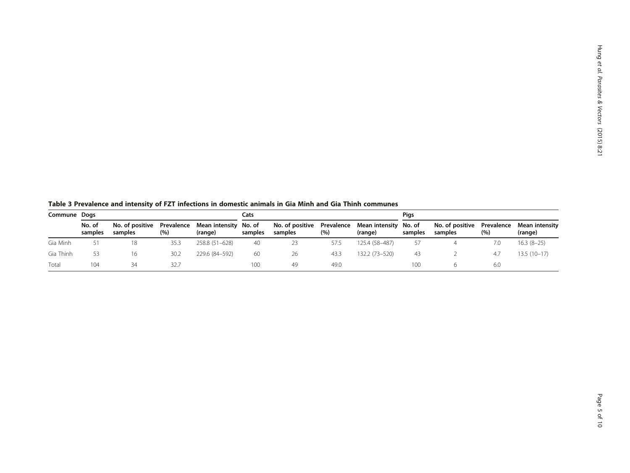<span id="page-4-0"></span>Table 3 Prevalence and intensity of FZT infections in domestic animals in Gia Minh and Gia Thinh communes

|           | Commune Dogs      |                                       |      |                                  | Cats    |                                                             |      |                | Pigs    |                                       |         |                           |
|-----------|-------------------|---------------------------------------|------|----------------------------------|---------|-------------------------------------------------------------|------|----------------|---------|---------------------------------------|---------|---------------------------|
|           | No. of<br>samples | No. of positive Prevalence<br>samples | (%)  | Mean intensity No. of<br>(range) | samples | No. of positive Prevalence Mean intensity No. of<br>samples | (%)  | (range)        | samples | No. of positive Prevalence<br>samples | $(\% )$ | Mean intensity<br>(range) |
| Gia Minh  | 51                |                                       | 35.3 | 258.8 (51-628)                   | 40      | 23                                                          | 57.5 | 125.4 (58-487) | 57      |                                       | 7.0     | $16.3(8-25)$              |
| Gia Thinh | 53                |                                       | 30.2 | 229.6 (84–592)                   | 60      | 26                                                          | 43.3 | 132.2 (73-520) | 43      |                                       | 4.7     | $13.5(10-17)$             |
| Total     | 104               | 34                                    | 32.7 |                                  | 100     | 49                                                          | 49.0 |                | 100     |                                       | 6.0     |                           |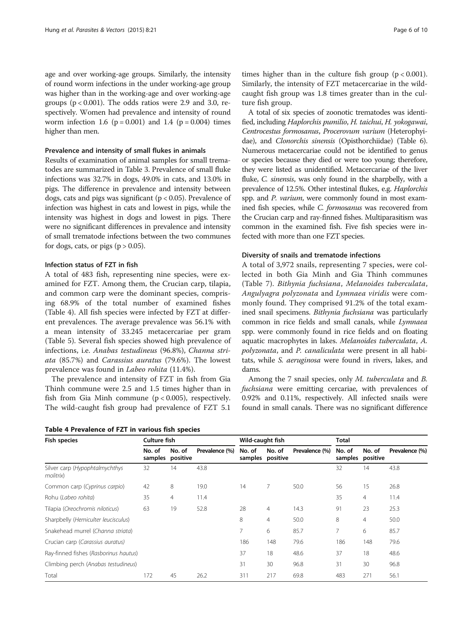age and over working-age groups. Similarly, the intensity of round worm infections in the under working-age group was higher than in the working-age and over working-age groups  $(p < 0.001)$ . The odds ratios were 2.9 and 3.0, respectively. Women had prevalence and intensity of round worm infection 1.6 ( $p = 0.001$ ) and 1.4 ( $p = 0.004$ ) times higher than men.

#### Prevalence and intensity of small flukes in animals

Results of examination of animal samples for small trematodes are summarized in Table [3.](#page-4-0) Prevalence of small fluke infections was 32.7% in dogs, 49.0% in cats, and 13.0% in pigs. The difference in prevalence and intensity between dogs, cats and pigs was significant ( $p < 0.05$ ). Prevalence of infection was highest in cats and lowest in pigs, while the intensity was highest in dogs and lowest in pigs. There were no significant differences in prevalence and intensity of small trematode infections between the two communes for dogs, cats, or pigs  $(p > 0.05)$ .

#### Infection status of FZT in fish

A total of 483 fish, representing nine species, were examined for FZT. Among them, the Crucian carp, tilapia, and common carp were the dominant species, comprising 68.9% of the total number of examined fishes (Table 4). All fish species were infected by FZT at different prevalences. The average prevalence was 56.1% with a mean intensity of 33.245 metacercariae per gram (Table [5](#page-6-0)). Several fish species showed high prevalence of infections, i.e. Anabas testudineus (96.8%), Channa striata (85.7%) and Carassius auratus (79.6%). The lowest prevalence was found in Labeo rohita (11.4%).

The prevalence and intensity of FZT in fish from Gia Thinh commune were 2.5 and 1.5 times higher than in fish from Gia Minh commune  $(p < 0.005)$ , respectively. The wild-caught fish group had prevalence of FZT 5.1

Table 4 Prevalence of FZT in various fish species

times higher than in the culture fish group  $(p < 0.001)$ . Similarly, the intensity of FZT metacercariae in the wildcaught fish group was 1.8 times greater than in the culture fish group.

A total of six species of zoonotic trematodes was identified, including Haplorchis pumilio, H. taichui, H. yokogawai, Centrocestus formosanus, Procerovum varium (Heterophyidae), and Clonorchis sinensis (Opisthorchiidae) (Table [6](#page-6-0)). Numerous metacercariae could not be identified to genus or species because they died or were too young; therefore, they were listed as unidentified. Metacercariae of the liver fluke, C. sinensis, was only found in the sharpbelly, with a prevalence of 12.5%. Other intestinal flukes, e.g. Haplorchis spp. and P. varium, were commonly found in most examined fish species, while C. formosanus was recovered from the Crucian carp and ray-finned fishes. Multiparasitism was common in the examined fish. Five fish species were infected with more than one FZT species.

#### Diversity of snails and trematode infections

A total of 3,972 snails, representing 7 species, were collected in both Gia Minh and Gia Thinh communes (Table [7\)](#page-7-0). Bithynia fuchsiana, Melanoides tuberculata, Angulyagra polyzonata and Lymnaea viridis were commonly found. They comprised 91.2% of the total examined snail specimens. Bithynia fuchsiana was particularly common in rice fields and small canals, while Lymnaea spp. were commonly found in rice fields and on floating aquatic macrophytes in lakes. Melanoides tuberculata, A. polyzonata, and P. canaliculata were present in all habitats, while S. aeruginosa were found in rivers, lakes, and dams.

Among the 7 snail species, only M. tuberculata and B. fuchsiana were emitting cercariae, with prevalences of 0.92% and 0.11%, respectively. All infected snails were found in small canals. There was no significant difference

| Fish species                                | Culture fish      |                    |                | Wild-caught fish |                            |                | Total  |                            |                |
|---------------------------------------------|-------------------|--------------------|----------------|------------------|----------------------------|----------------|--------|----------------------------|----------------|
|                                             | No. of<br>samples | No. of<br>positive | Prevalence (%) | No. of           | No. of<br>samples positive | Prevalence (%) | No. of | No. of<br>samples positive | Prevalence (%) |
| Silver carp (Hypophtalmychthys<br>molitrix) | 32                | 14                 | 43.8           |                  |                            |                | 32     | 14                         | 43.8           |
| Common carp (Cyprinus carpio)               | 42                | 8                  | 19.0           | 14               | 7                          | 50.0           | 56     | 15                         | 26.8           |
| Rohu (Labeo rohita)                         | 35                | 4                  | 11.4           |                  |                            |                | 35     | $\overline{4}$             | 11.4           |
| Tilapia (Oreochromis niloticus)             | 63                | 19                 | 52.8           | 28               | $\overline{4}$             | 14.3           | 91     | 23                         | 25.3           |
| Sharpbelly (Hemiculter leucisculus)         |                   |                    |                | 8                | $\overline{4}$             | 50.0           | 8      | 4                          | 50.0           |
| Snakehead murrel (Channa striata)           |                   |                    |                | 7                | 6                          | 85.7           | 7      | 6                          | 85.7           |
| Crucian carp (Carassius auratus)            |                   |                    |                | 186              | 148                        | 79.6           | 186    | 148                        | 79.6           |
| Ray-finned fishes (Rasborinus hautus)       |                   |                    |                | 37               | 18                         | 48.6           | 37     | 18                         | 48.6           |
| Climbing perch (Anabas testudineus)         |                   |                    |                | 31               | 30                         | 96.8           | 31     | 30                         | 96.8           |
| Total                                       | 172               | 45                 | 26.2           | 311              | 217                        | 69.8           | 483    | 271                        | 56.1           |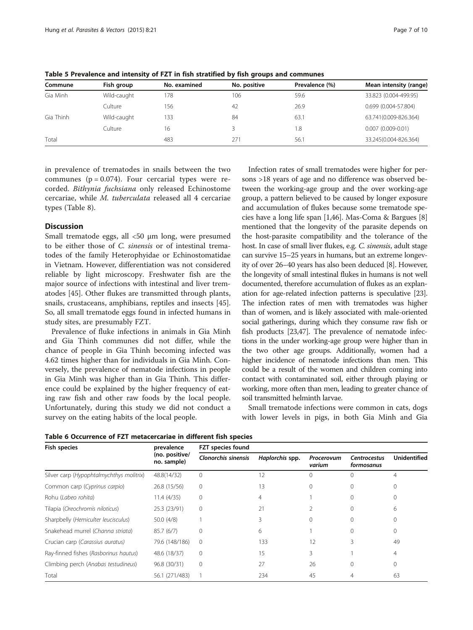| Commune   | Fish group  | No. examined | No. positive | Prevalence (%) | Mean intensity (range) |
|-----------|-------------|--------------|--------------|----------------|------------------------|
| Gia Minh  | Wild-caught | 78           | 106          | 59.6           | 33.823 (0.004-499.95)  |
|           | Culture     | 156          | -42          | 26.9           | 0.699 (0.004-57.804)   |
| Gia Thinh | Wild-caught | 33           | 84           | 63.1           | 63.741(0.009-826.364)  |
|           | Culture     | 16           |              | 1.8            | $0.007(0.009 - 0.01)$  |
| Total     |             | 483          | 271          | 56.1           | 33.245(0.004-826.364)  |

<span id="page-6-0"></span>Table 5 Prevalence and intensity of FZT in fish stratified by fish groups and communes

in prevalence of trematodes in snails between the two communes  $(p = 0.074)$ . Four cercarial types were recorded. Bithynia fuchsiana only released Echinostome cercariae, while M. tuberculata released all 4 cercariae types (Table [8](#page-7-0)).

#### **Discussion**

Small trematode eggs, all <50 μm long, were presumed to be either those of C. sinensis or of intestinal trematodes of the family Heterophyidae or Echinostomatidae in Vietnam. However, differentiation was not considered reliable by light microscopy. Freshwater fish are the major source of infections with intestinal and liver trematodes [\[45\]](#page-9-0). Other flukes are transmitted through plants, snails, crustaceans, amphibians, reptiles and insects [\[45](#page-9-0)]. So, all small trematode eggs found in infected humans in study sites, are presumably FZT.

Prevalence of fluke infections in animals in Gia Minh and Gia Thinh communes did not differ, while the chance of people in Gia Thinh becoming infected was 4.62 times higher than for individuals in Gia Minh. Conversely, the prevalence of nematode infections in people in Gia Minh was higher than in Gia Thinh. This difference could be explained by the higher frequency of eating raw fish and other raw foods by the local people. Unfortunately, during this study we did not conduct a survey on the eating habits of the local people.

Infection rates of small trematodes were higher for persons >18 years of age and no difference was observed between the working-age group and the over working-age group, a pattern believed to be caused by longer exposure and accumulation of flukes because some trematode species have a long life span [[1,](#page-8-0)[46](#page-9-0)]. Mas-Coma & Bargues [[8](#page-8-0)] mentioned that the longevity of the parasite depends on the host-parasite compatibility and the tolerance of the host. In case of small liver flukes, e.g. C. sinensis, adult stage can survive 15–25 years in humans, but an extreme longevity of over 26–40 years has also been deduced [[8](#page-8-0)]. However, the longevity of small intestinal flukes in humans is not well documented, therefore accumulation of flukes as an explanation for age-related infection patterns is speculative [\[23](#page-8-0)]. The infection rates of men with trematodes was higher than of women, and is likely associated with male-oriented social gatherings, during which they consume raw fish or fish products [[23](#page-8-0)[,47\]](#page-9-0). The prevalence of nematode infections in the under working-age group were higher than in the two other age groups. Additionally, women had a higher incidence of nematode infections than men. This could be a result of the women and children coming into contact with contaminated soil, either through playing or working, more often than men, leading to greater chance of soil transmitted helminth larvae.

Small trematode infections were common in cats, dogs with lower levels in pigs, in both Gia Minh and Gia

Table 6 Occurrence of FZT metacercariae in different fish species

| <b>Fish species</b>                      | prevalence                    | FZT species found          |                 |                      |                            |                |  |  |
|------------------------------------------|-------------------------------|----------------------------|-----------------|----------------------|----------------------------|----------------|--|--|
|                                          | (no. positive/<br>no. sample) | <b>Clonorchis sinensis</b> | Haplorchis spp. | Procerovum<br>varium | Centrocestus<br>formosanus | Unidentified   |  |  |
| Silver carp (Hypophtalmychthys molitrix) | 48.8(14/32)                   | $\mathbf 0$                | 12              | 0                    | Ω                          | 4              |  |  |
| Common carp (Cyprinus carpio)            | 26.8 (15/56)                  | $\mathbf 0$                | 13              |                      |                            |                |  |  |
| Rohu (Labeo rohita)                      | 11.4(4/35)                    | $\mathbf 0$                | 4               |                      |                            |                |  |  |
| Tilapia (Oreochromis niloticus)          | 25.3 (23/91)                  | $\mathbf 0$                | 21              |                      | $\Omega$                   | 6              |  |  |
| Sharpbelly (Hemiculter leucisculus)      | 50.0(4/8)                     |                            | 3               | 0                    | $\Omega$                   |                |  |  |
| Snakehead murrel (Channa striata)        | 85.7(6/7)                     | 0                          | 6               |                      | $\Omega$                   | 0              |  |  |
| Crucian carp (Carassius auratus)         | 79.6 (148/186)                | $\mathbf{0}$               | 133             | 12                   | 3                          | 49             |  |  |
| Ray-finned fishes (Rasborinus hautus)    | 48.6 (18/37)                  | $\mathbf 0$                | 15              | 3                    |                            | $\overline{4}$ |  |  |
| Climbing perch (Anabas testudineus)      | 96.8 (30/31)                  | $\mathbf{0}$               | 27              | 26                   | 0                          | 0              |  |  |
| Total                                    | 56.1 (271/483)                |                            | 234             | 45                   |                            | 63             |  |  |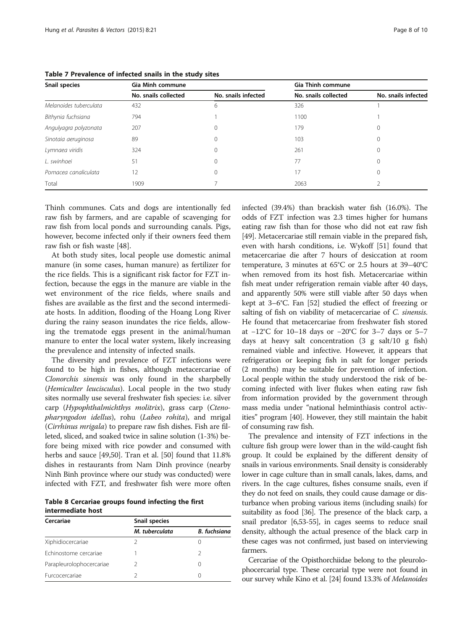| Snail species          | <b>Gia Minh commune</b> |                     | <b>Gia Thinh commune</b> |                     |  |  |  |
|------------------------|-------------------------|---------------------|--------------------------|---------------------|--|--|--|
|                        | No. snails collected    | No. snails infected | No. snails collected     | No. snails infected |  |  |  |
| Melanoides tuberculata | 432                     | 6                   | 326                      |                     |  |  |  |
| Bithynia fuchsiana     | 794                     |                     | 1100                     |                     |  |  |  |
| Angulyagra polyzonata  | 207                     | 0                   | 179                      | 0                   |  |  |  |
| Sinotaia aeruginosa    | 89                      | 0                   | 103                      | 0                   |  |  |  |
| Lymnaea viridis        | 324                     | 0                   | 261                      |                     |  |  |  |
| L. swinhoei            | 51                      | 0                   | 77                       | 0                   |  |  |  |
| Pomacea canaliculata   | $12 \overline{ }$       | 0                   | 17                       | 0                   |  |  |  |
| Total                  | 1909                    |                     | 2063                     |                     |  |  |  |

<span id="page-7-0"></span>Table 7 Prevalence of infected snails in the study sites

Thinh communes. Cats and dogs are intentionally fed raw fish by farmers, and are capable of scavenging for raw fish from local ponds and surrounding canals. Pigs, however, become infected only if their owners feed them raw fish or fish waste [\[48\]](#page-9-0).

At both study sites, local people use domestic animal manure (in some cases, human manure) as fertilizer for the rice fields. This is a significant risk factor for FZT infection, because the eggs in the manure are viable in the wet environment of the rice fields, where snails and fishes are available as the first and the second intermediate hosts. In addition, flooding of the Hoang Long River during the rainy season inundates the rice fields, allowing the trematode eggs present in the animal/human manure to enter the local water system, likely increasing the prevalence and intensity of infected snails.

The diversity and prevalence of FZT infections were found to be high in fishes, although metacercariae of Clonorchis sinensis was only found in the sharpbelly (Hemiculter leucisculus). Local people in the two study sites normally use several freshwater fish species: i.e. silver carp (Hypophthalmichthys molitrix), grass carp (Ctenopharyngodon idellus), rohu (Labeo rohita), and mrigal (Cirrhinus mrigala) to prepare raw fish dishes. Fish are filleted, sliced, and soaked twice in saline solution (1-3%) before being mixed with rice powder and consumed with herbs and sauce [[49,50\]](#page-9-0). Tran et al. [[50](#page-9-0)] found that 11.8% dishes in restaurants from Nam Dinh province (nearby Ninh Binh province where our study was conducted) were infected with FZT, and freshwater fish were more often

Table 8 Cercariae groups found infecting the first intermediate host

| Cercariae                | Snail species  |              |  |  |  |  |  |
|--------------------------|----------------|--------------|--|--|--|--|--|
|                          | M. tuberculata | B. fuchsiana |  |  |  |  |  |
| Xiphidiocercariae        |                |              |  |  |  |  |  |
| Echinostome cercariae    |                | 2            |  |  |  |  |  |
| Parapleurolophocercariae | 2              | $\left($     |  |  |  |  |  |
| Eurcocercariae           |                | $\left($     |  |  |  |  |  |

infected (39.4%) than brackish water fish (16.0%). The odds of FZT infection was 2.3 times higher for humans eating raw fish than for those who did not eat raw fish [[49](#page-9-0)]. Metacercariae still remain viable in the prepared fish, even with harsh conditions, i.e. Wykoff [[51](#page-9-0)] found that metacercariae die after 7 hours of desiccation at room temperature, 3 minutes at 65°C or 2.5 hours at 39–40°C when removed from its host fish. Metacercariae within fish meat under refrigeration remain viable after 40 days, and apparently 50% were still viable after 50 days when kept at 3–6°C. Fan [\[52\]](#page-9-0) studied the effect of freezing or salting of fish on viability of metacercariae of C. sinensis. He found that metacercariae from freshwater fish stored at −12°C for 10–18 days or −20°C for 3–7 days or 5–7 days at heavy salt concentration (3 g salt/10 g fish) remained viable and infective. However, it appears that refrigeration or keeping fish in salt for longer periods (2 months) may be suitable for prevention of infection. Local people within the study understood the risk of becoming infected with liver flukes when eating raw fish from information provided by the government through mass media under "national helminthiasis control activities" program [\[40\]](#page-9-0). However, they still maintain the habit of consuming raw fish.

The prevalence and intensity of FZT infections in the culture fish group were lower than in the wild-caught fish group. It could be explained by the different density of snails in various environments. Snail density is considerably lower in cage culture than in small canals, lakes, dams, and rivers. In the cage cultures, fishes consume snails, even if they do not feed on snails, they could cause damage or disturbance when probing various items (including snails) for suitability as food [\[36](#page-9-0)]. The presence of the black carp, a snail predator [\[6](#page-8-0)[,53-55](#page-9-0)], in cages seems to reduce snail density, although the actual presence of the black carp in these cages was not confirmed, just based on interviewing farmers.

Cercariae of the Opisthorchiidae belong to the pleurolophocercarial type. These cercarial type were not found in our survey while Kino et al. [\[24\]](#page-8-0) found 13.3% of Melanoides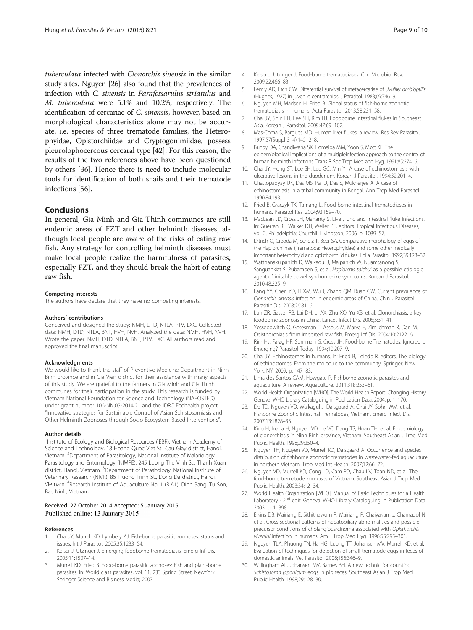<span id="page-8-0"></span>tuberculata infected with Clonorchis sinensis in the similar study sites. Nguyen [26] also found that the prevalences of infection with C. sinensis in Parafossarulus striatulus and M. tuberculata were 5.1% and 10.2%, respectively. The identification of cercariae of C. sinensis, however, based on morphological characteristics alone may not be accurate, i.e. species of three trematode families, the Heterophyidae, Opistorchiidae and Cryptogonimiidae, possess pleurolophocercous cercaral type [\[42\]](#page-9-0). For this reason, the results of the two references above have been questioned by others [\[36](#page-9-0)]. Hence there is need to include molecular tools for identification of both snails and their trematode infections [\[56\]](#page-9-0).

#### Conclusions

In general, Gia Minh and Gia Thinh communes are still endemic areas of FZT and other helminth diseases, although local people are aware of the risks of eating raw fish. Any strategy for controlling helminth diseases must make local people realize the harmfulness of parasites, especially FZT, and they should break the habit of eating raw fish.

#### Competing interests

The authors have declare that they have no competing interests.

#### Authors' contributions

Conceived and designed the study: NMH, DTD, NTLA, PTV, LXC. Collected data: NMH, DTD, NTLA, BNT, HVH, NVH. Analyzed the data: NMH, HVH, NVH. Wrote the paper: NMH, DTD, NTLA, BNT, PTV, LXC. All authors read and approved the final manuscript.

#### Acknowledgments

We would like to thank the staff of Preventive Medicine Department in Ninh Binh province and in Gia Vien district for their assistance with many aspects of this study. We are grateful to the farmers in Gia Minh and Gia Thinh communes for their participation in the study. This research is funded by Vietnam National Foundation for Science and Technology (NAFOSTED) under grant number 106-NN.05-2014.21 and the IDRC Ecohealth project "Innovative strategies for Sustainable Control of Asian Schistosomiasis and Other Helminth Zoonoses through Socio-Ecosystem-Based Interventions".

#### Author details

<sup>1</sup>Institute of Ecology and Biological Resources (IEBR), Vietnam Academy of Science and Technology, 18 Hoang Quoc Viet St., Cau Giay district, Hanoi, Vietnam. <sup>2</sup>Department of Parasitology, National Institute of Malariology, Parasitology and Entomology (NIMPE), 245 Luong The Vinh St., Thanh Xuan district, Hanoi, Vietnam. <sup>3</sup>Department of Parasitology, National Institute of Veterinary Research (NIVR), 86 Truong Trinh St., Dong Da district, Hanoi, Vietnam. <sup>4</sup> Research Institute of Aquaculture No. 1 (RIA1), Dinh Bang, Tu Son, Bac Ninh, Vietnam.

#### Received: 27 October 2014 Accepted: 5 January 2015 Published online: 13 January 2015

#### References

- 1. Chai JY, Murrell KD, Lymbery AJ. Fish-borne parasitic zoonoses: status and issues. Int J Parasitol. 2005;35:1233–54.
- 2. Keiser J, Utzinger J. Emerging foodborne trematodiasis. Emerg Inf Dis. 2005;11:1507–14.
- 3. Murrell KD, Fried B. Food-borne parasitic zoonoses: Fish and plant-borne parasites. In: World class parasites, vol. 11. 233 Spring Street, NewYork: Springer Science and Bisiness Media; 2007.
- 4. Keiser J, Utzinger J. Food-borne trematodiases. Clin Microbiol Rev. 2009;22:466–83.
- 5. Lemly AD, Esch GW. Differential survival of metacercariae of Uvulifer ambloptilis (Hughes, 1927) in juvenile centrarchids. J Parasitol. 1983;69:746–9.
- 6. Nguyen MH, Madsen H, Fried B. Global status of fish-borne zoonotic trematodiasis in humans. Acta Parasitol. 2013;58:231–58.
- 7. Chai JY, Shin EH, Lee SH, Rim HJ. Foodborne intestinal flukes in Southeast Asia. Korean J Parasitol. 2009;47:69–102.
- 8. Mas-Coma S, Bargues MD. Human liver flukes: a review. Res Rev Parasitol. 1997;57(Suppl 3–4):145–218.
- 9. Bundy DA, Chandiwana SK, Homeida MM, Yoon S, Mott KE. The epidemiological implications of a multipleinfection approach to the control of human helminth infections. Trans R Soc Trop Med and Hyg. 1991;85:274–6.
- 10. Chai JY, Hong ST, Lee SH, Lee GC, Min YI. A case of echinostomiasis with ulcerative lesions in the duodenum. Korean J Parasitol. 1994;32:201–4.
- 11. Chattopadyay UK, Das MS, Pal D, Das S, Mukherjee A. A case of echinostomiasis in a tribal community in Bengal. Ann Trop Med Parasitol. 1990;84:193.
- 12. Fried B, Graczyk TK, Tamang L. Food-borne intestinal trematodiases in humans. Parasitol Res. 2004;93:159–70.
- 13. MacLean JD, Cross JH, Mahanty S. Liver, lung and intestinal fluke infections. In: Guerran RL, Walker DH, Weller PF, editors. Tropical Infectious Diseases, vol. 2. Philadelphia: Churchill Livingston; 2006. p. 1039–57.
- 14. Ditrich O, Giboda M, Scholz T, Beer SA. Comparative morphology of eggs of the Haplorchiinae (Trematoda: Heterophyidae) and some other medically important heterophyid and opisthorchiid flukes. Folia Parasitol. 1992;39:123–32.
- 15. Watthanakulpanich D, Waikagul J, Maipanich W, Nuamtanong S, Sanguankiat S, Pubampen S, et al. Haplorchis taichui as a possible etiologic agent of irritable bowel syndrome-like symptoms. Korean J Parasitol. 2010;48:225–9.
- 16. Fang YY, Chen YD, Li XM, Wu J, Zhang QM, Ruan CW. Current prevalence of Clonorchis sinensis infection in endemic areas of China. Chin J Parasitol Parasitic Dis. 2008;26:81–6.
- 17. Lun ZR, Gasser RB, Lai DH, Li AX, Zhu XQ, Yu XB, et al. Clonorchiasis: a key foodborne zoonosis in China. Lancet Infect Dis. 2005;5:31–41.
- 18. Yossepowitch O, Gotesman T, Assous M, Marva E, Zimlichman R, Dan M. Opisthorchiasis from imported raw fish. Emerg Inf Dis. 2004;10:2122–6.
- 19. Rim HJ, Farag HF, Sornmani S, Cross JH. Food-borne Trematodes: Ignored or Emerging? Parasitol Today. 1994;10:207–9.
- 20. Chai JY. Echinostomes in humans. In: Fried B, Toledo R, editors. The biology of echinostomes. From the molecule to the community. Springer: New York, NY; 2009. p. 147–83.
- 21. Lima-dos-Santos CAM, Howgate P. Fishborne zoonotic parasites and aquaculture: A review. Aquaculture. 2011;318:253–61.
- 22. World Health Organization [WHO]. The World Health Report: Changing History. Geneva: WHO Library Cataloguing in Publication Data; 2004. p. 1–170.
- 23. Do TD, Nguyen VD, Waikagul J, Dalsgaard A, Chai JY, Sohn WM, et al. Fishborne Zoonotic Intestinal Trematodes, Vietnam. Emerg Infect Dis. 2007;13:1828–33.
- 24. Kino H, Inaba H, Nguyen VD, Le VC, Dang TS, Hoan TH, et al. Epidemiology of clonorchiasis in Ninh Binh province, Vietnam. Southeast Asian J Trop Med Public Health. 1998;29:250–4.
- 25. Nguyen TH, Nguyen VD, Murrell KD, Dalsgaard A. Occurrence and species distribution of fishborne zoonotic trematodes in wastewater-fed aquaculture in northern Vietnam. Trop Med Int Health. 2007;12:66–72.
- 26. Nguyen VD, Murrell KD, Cong LD, Cam PD, Chau LV, Toan ND, et al. The food-borne trematode zoonoses of Vietnam. Southeast Asian J Trop Med Public Health. 2003;34:12–34.
- 27. World Health Organization [WHO]. Manual of Basic Techniques for a Health Laboratory - 2<sup>nd</sup> edit. Geneva: WHO Library Cataloguing in Publication Data; 2003. p. 1–398.
- 28. Elkins DB, Mairiang E, Sithithaworn P, Mairiang P, Chaiyakum J, Chamadol N, et al. Cross-sectional patterns of hepatobiliary abnormalities and possible precursor conditions of cholangiocarcinoma associated with Opisthorchis viverrini infection in humans. Am J Trop Med Hyg. 1996;55:295–301.
- 29. Nguyen TLA, Phuong TN, Ha HG, Luong TT, Johansen MV, Murrell KD, et al. Evaluation of techniques for detection of small trematode eggs in feces of domestic animals. Vet Parasitol. 2008;156:346–9.
- 30. Willingham AL, Johansen MV, Barnes BH. A new technic for counting Schistosoma japonicum eggs in pig feces. Southeast Asian J Trop Med Public Health. 1998;29:128–30.